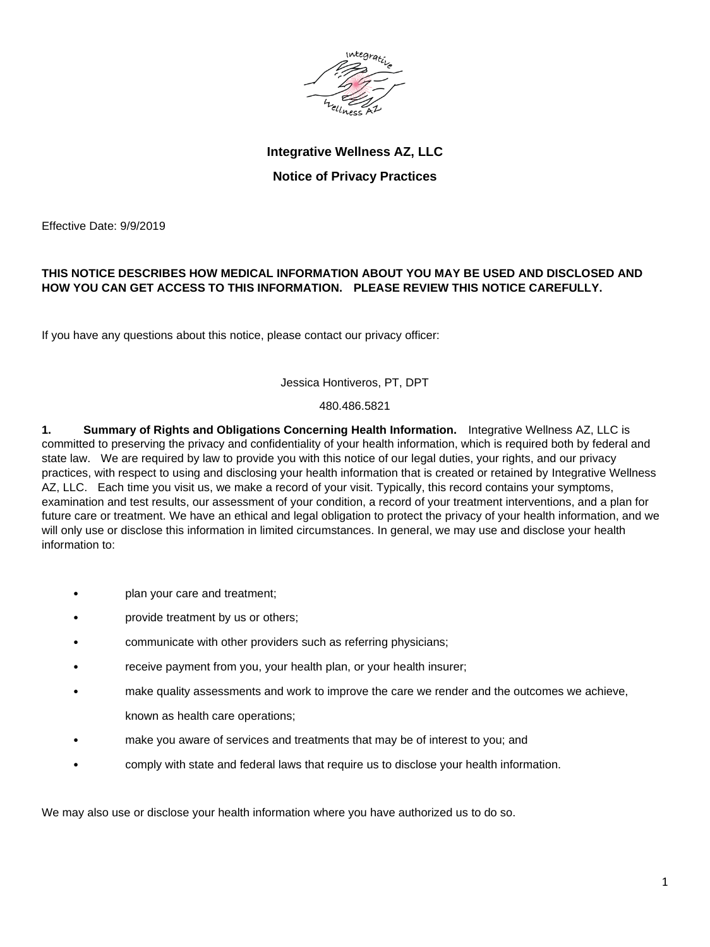

## **Integrative Wellness AZ, LLC**

**Notice of Privacy Practices**

Effective Date: 9/9/2019

## **THIS NOTICE DESCRIBES HOW MEDICAL INFORMATION ABOUT YOU MAY BE USED AND DISCLOSED AND HOW YOU CAN GET ACCESS TO THIS INFORMATION. PLEASE REVIEW THIS NOTICE CAREFULLY.**

If you have any questions about this notice, please contact our privacy officer:

Jessica Hontiveros, PT, DPT

480.486.5821

**1. Summary of Rights and Obligations Concerning Health Information.** Integrative Wellness AZ, LLC is committed to preserving the privacy and confidentiality of your health information, which is required both by federal and state law. We are required by law to provide you with this notice of our legal duties, your rights, and our privacy practices, with respect to using and disclosing your health information that is created or retained by Integrative Wellness AZ, LLC. Each time you visit us, we make a record of your visit. Typically, this record contains your symptoms, examination and test results, our assessment of your condition, a record of your treatment interventions, and a plan for future care or treatment. We have an ethical and legal obligation to protect the privacy of your health information, and we will only use or disclose this information in limited circumstances. In general, we may use and disclose your health information to:

- plan your care and treatment;
- provide treatment by us or others;
- communicate with other providers such as referring physicians;
- receive payment from you, your health plan, or your health insurer;
- make quality assessments and work to improve the care we render and the outcomes we achieve, known as health care operations;
- make you aware of services and treatments that may be of interest to you; and
- comply with state and federal laws that require us to disclose your health information.

We may also use or disclose your health information where you have authorized us to do so.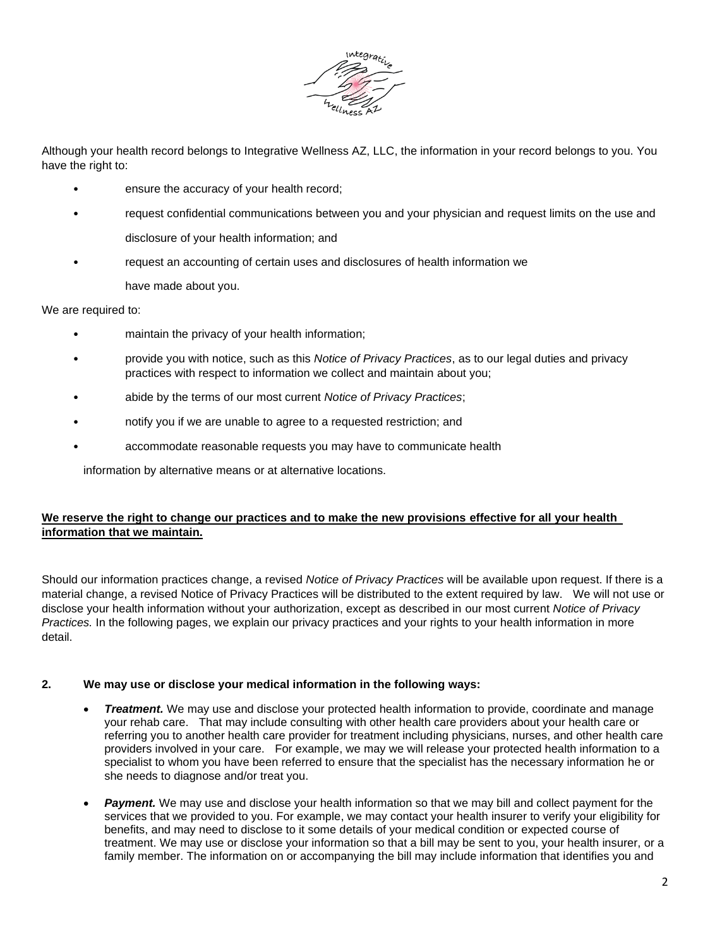

Although your health record belongs to Integrative Wellness AZ, LLC, the information in your record belongs to you. You have the right to:

- ensure the accuracy of your health record;
- request confidential communications between you and your physician and request limits on the use and
	- disclosure of your health information; and
- request an accounting of certain uses and disclosures of health information we

have made about you.

We are required to:

- maintain the privacy of your health information;
- provide you with notice, such as this *Notice of Privacy Practices*, as to our legal duties and privacy practices with respect to information we collect and maintain about you;
- abide by the terms of our most current *Notice of Privacy Practices*;
- notify you if we are unable to agree to a requested restriction; and
- accommodate reasonable requests you may have to communicate health

information by alternative means or at alternative locations.

## **We reserve the right to change our practices and to make the new provisions effective for all your health information that we maintain.**

Should our information practices change, a revised *Notice of Privacy Practices* will be available upon request. If there is a material change, a revised Notice of Privacy Practices will be distributed to the extent required by law. We will not use or disclose your health information without your authorization, except as described in our most current *Notice of Privacy Practices.* In the following pages, we explain our privacy practices and your rights to your health information in more detail.

## **2. We may use or disclose your medical information in the following ways:**

- *Treatment.* We may use and disclose your protected health information to provide, coordinate and manage your rehab care. That may include consulting with other health care providers about your health care or referring you to another health care provider for treatment including physicians, nurses, and other health care providers involved in your care. For example, we may we will release your protected health information to a specialist to whom you have been referred to ensure that the specialist has the necessary information he or she needs to diagnose and/or treat you.
- *Payment.* We may use and disclose your health information so that we may bill and collect payment for the services that we provided to you. For example, we may contact your health insurer to verify your eligibility for benefits, and may need to disclose to it some details of your medical condition or expected course of treatment. We may use or disclose your information so that a bill may be sent to you, your health insurer, or a family member. The information on or accompanying the bill may include information that identifies you and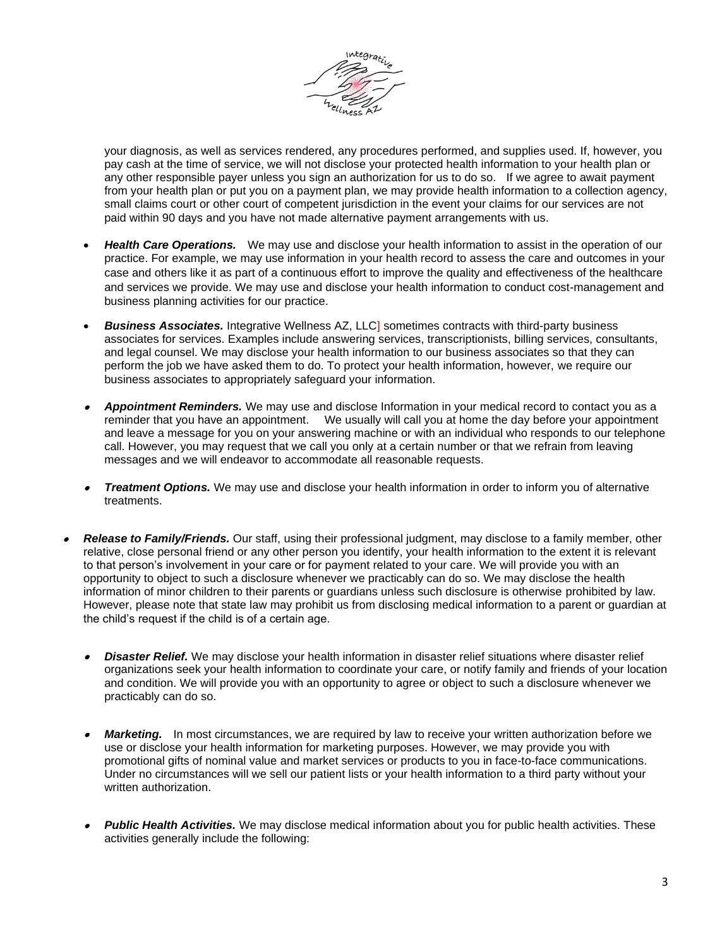

your diagnosis, as well as services rendered, any procedures performed, and supplies used. If, however, you pay cash at the time of service, we will not disclose your protected health information to your health plan or any other responsible payer unless you sign an authorization for us to do so. If we agree to await payment from your health plan or put you on a payment plan, we may provide health information to a collection agency, small claims court or other court of competent jurisdiction in the event your claims for our services are not paid within 90 days and you have not made alternative payment arrangements with us.

- *Health Care Operations.* We may use and disclose your health information to assist in the operation of our practice. For example, we may use information in your health record to assess the care and outcomes in your case and others like it as part of a continuous effort to improve the quality and effectiveness of the healthcare and services we provide. We may use and disclose your health information to conduct cost-management and business planning activities for our practice.
- *Business Associates.* Integrative Wellness AZ, LLC] sometimes contracts with third-party business associates for services. Examples include answering services, transcriptionists, billing services, consultants, and legal counsel. We may disclose your health information to our business associates so that they can perform the job we have asked them to do. To protect your health information, however, we require our business associates to appropriately safeguard your information.
- • *Appointment Reminders.* We may use and disclose Information in your medical record to contact you as a reminder that you have an appointment. We usually will call you at home the day before your appointment and leave a message for you on your answering machine or with an individual who responds to our telephone call. However, you may request that we call you only at a certain number or that we refrain from leaving messages and we will endeavor to accommodate all reasonable requests.
- • *Treatment Options.* We may use and disclose your health information in order to inform you of alternative treatments.
- • *Release to Family/Friends.* Our staff, using their professional judgment, may disclose to a family member, other relative, close personal friend or any other person you identify, your health information to the extent it is relevant to that person's involvement in your care or for payment related to your care. We will provide you with an opportunity to object to such a disclosure whenever we practicably can do so. We may disclose the health information of minor children to their parents or guardians unless such disclosure is otherwise prohibited by law. However, please note that state law may prohibit us from disclosing medical information to a parent or guardian at the child's request if the child is of a certain age.
	- • *Disaster Relief.* We may disclose your health information in disaster relief situations where disaster relief organizations seek your health information to coordinate your care, or notify family and friends of your location and condition. We will provide you with an opportunity to agree or object to such a disclosure whenever we practicably can do so.
	- • *Marketing.* In most circumstances, we are required by law to receive your written authorization before we use or disclose your health information for marketing purposes. However, we may provide you with promotional gifts of nominal value and market services or products to you in face-to-face communications. Under no circumstances will we sell our patient lists or your health information to a third party without your written authorization.
	- • *Public Health Activities.* We may disclose medical information about you for public health activities. These activities generally include the following: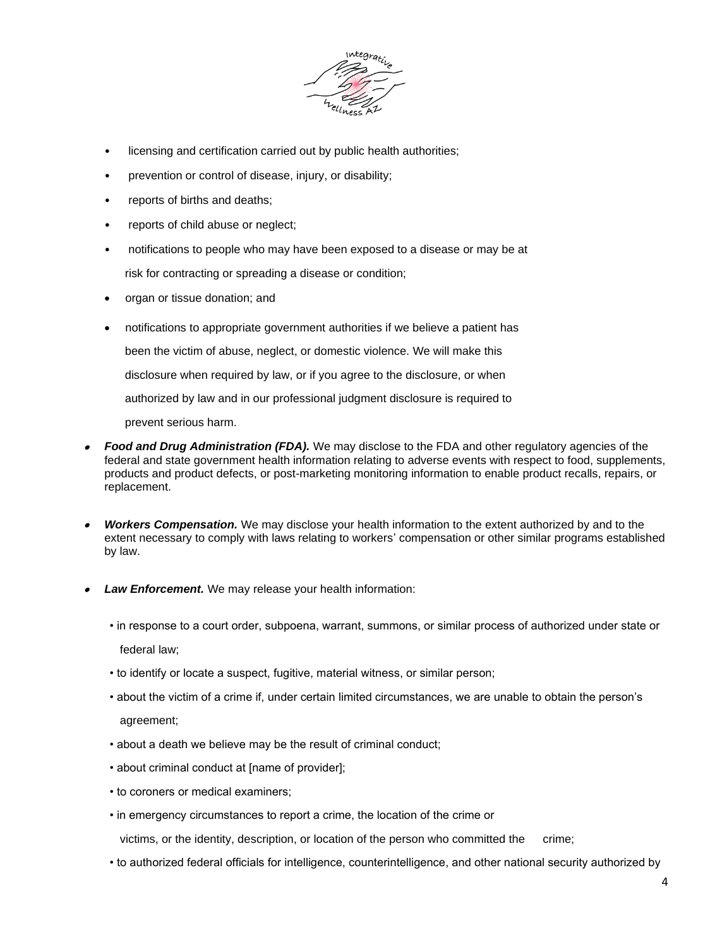

- licensing and certification carried out by public health authorities;
- prevention or control of disease, injury, or disability;
- reports of births and deaths;
- reports of child abuse or neglect;
- notifications to people who may have been exposed to a disease or may be at

risk for contracting or spreading a disease or condition;

- organ or tissue donation; and
- notifications to appropriate government authorities if we believe a patient has been the victim of abuse, neglect, or domestic violence. We will make this disclosure when required by law, or if you agree to the disclosure, or when authorized by law and in our professional judgment disclosure is required to prevent serious harm.
- • *Food and Drug Administration (FDA).* We may disclose to the FDA and other regulatory agencies of the federal and state government health information relating to adverse events with respect to food, supplements, products and product defects, or post-marketing monitoring information to enable product recalls, repairs, or replacement.
- • *Workers Compensation.* We may disclose your health information to the extent authorized by and to the extent necessary to comply with laws relating to workers' compensation or other similar programs established by law.
- • *Law Enforcement.* We may release your health information:
	- in response to a court order, subpoena, warrant, summons, or similar process of authorized under state or federal law;
	- to identify or locate a suspect, fugitive, material witness, or similar person;
	- about the victim of a crime if, under certain limited circumstances, we are unable to obtain the person's agreement;
	- about a death we believe may be the result of criminal conduct;
	- about criminal conduct at [name of provider];
	- to coroners or medical examiners;
	- in emergency circumstances to report a crime, the location of the crime or

victims, or the identity, description, or location of the person who committed the crime;

• to authorized federal officials for intelligence, counterintelligence, and other national security authorized by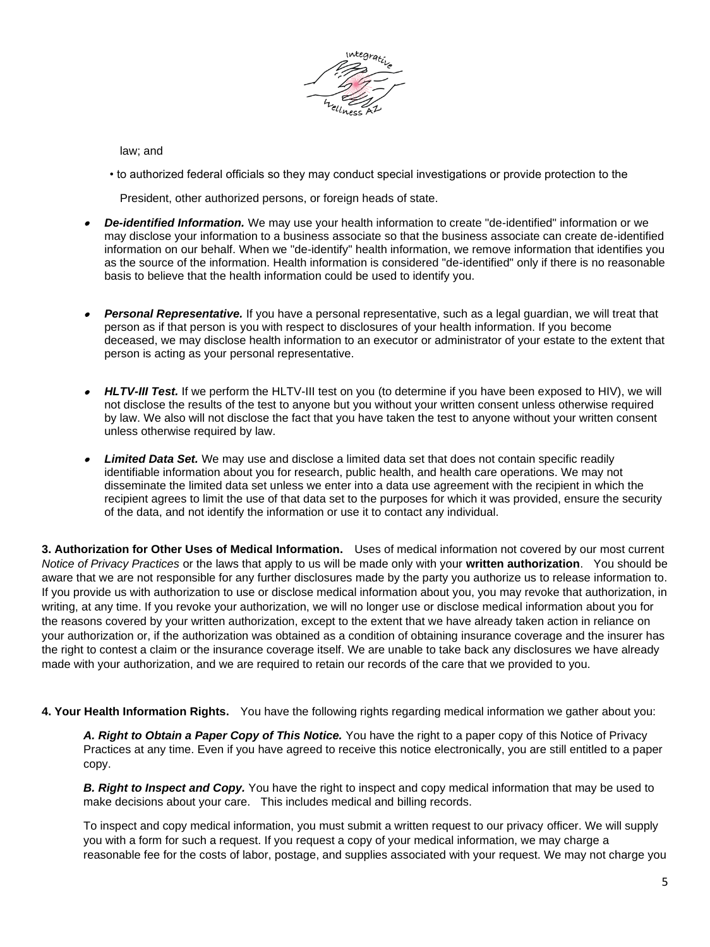

law; and

• to authorized federal officials so they may conduct special investigations or provide protection to the

President, other authorized persons, or foreign heads of state.

- • *De-identified Information.* We may use your health information to create "de-identified" information or we may disclose your information to a business associate so that the business associate can create de-identified information on our behalf. When we "de-identify" health information, we remove information that identifies you as the source of the information. Health information is considered "de-identified" only if there is no reasonable basis to believe that the health information could be used to identify you.
- • *Personal Representative.* If you have a personal representative, such as a legal guardian, we will treat that person as if that person is you with respect to disclosures of your health information. If you become deceased, we may disclose health information to an executor or administrator of your estate to the extent that person is acting as your personal representative.
- *HLTV-III Test.* If we perform the HLTV-III test on you (to determine if you have been exposed to HIV), we will not disclose the results of the test to anyone but you without your written consent unless otherwise required by law. We also will not disclose the fact that you have taken the test to anyone without your written consent unless otherwise required by law.
- • *Limited Data Set.* We may use and disclose a limited data set that does not contain specific readily identifiable information about you for research, public health, and health care operations. We may not disseminate the limited data set unless we enter into a data use agreement with the recipient in which the recipient agrees to limit the use of that data set to the purposes for which it was provided, ensure the security of the data, and not identify the information or use it to contact any individual.

**3. Authorization for Other Uses of Medical Information.** Uses of medical information not covered by our most current *Notice of Privacy Practices* or the laws that apply to us will be made only with your **written authorization**. You should be aware that we are not responsible for any further disclosures made by the party you authorize us to release information to. If you provide us with authorization to use or disclose medical information about you, you may revoke that authorization, in writing, at any time. If you revoke your authorization, we will no longer use or disclose medical information about you for the reasons covered by your written authorization, except to the extent that we have already taken action in reliance on your authorization or, if the authorization was obtained as a condition of obtaining insurance coverage and the insurer has the right to contest a claim or the insurance coverage itself. We are unable to take back any disclosures we have already made with your authorization, and we are required to retain our records of the care that we provided to you.

**4. Your Health Information Rights.** You have the following rights regarding medical information we gather about you:

*A. Right to Obtain a Paper Copy of This Notice.* You have the right to a paper copy of this Notice of Privacy Practices at any time. Even if you have agreed to receive this notice electronically, you are still entitled to a paper copy.

*B. Right to Inspect and Copy.* You have the right to inspect and copy medical information that may be used to make decisions about your care. This includes medical and billing records.

To inspect and copy medical information, you must submit a written request to our privacy officer. We will supply you with a form for such a request. If you request a copy of your medical information, we may charge a reasonable fee for the costs of labor, postage, and supplies associated with your request. We may not charge you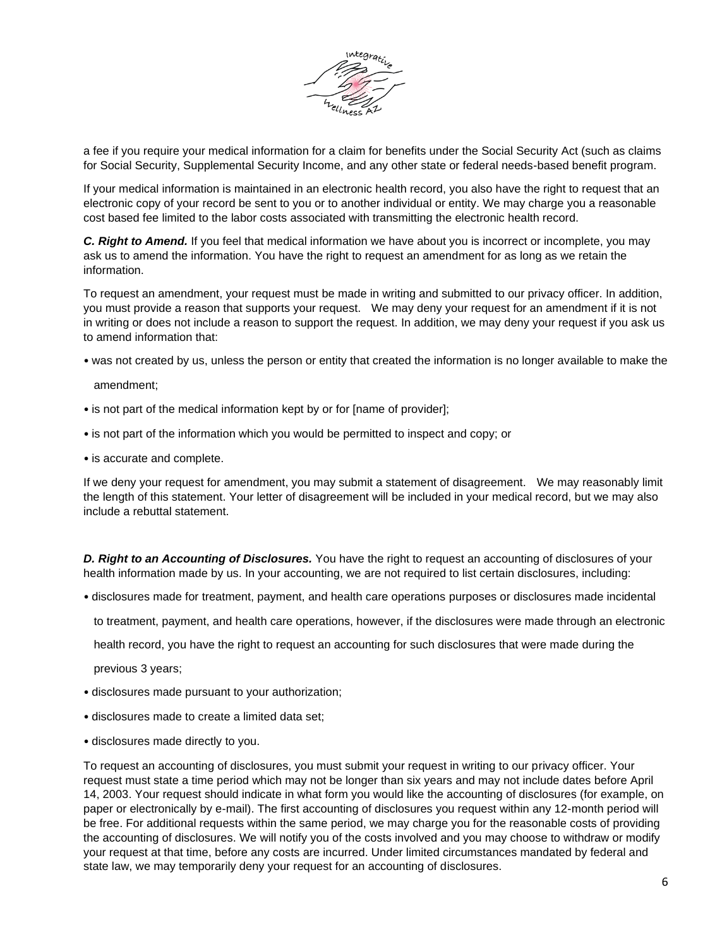

a fee if you require your medical information for a claim for benefits under the Social Security Act (such as claims for Social Security, Supplemental Security Income, and any other state or federal needs-based benefit program.

If your medical information is maintained in an electronic health record, you also have the right to request that an electronic copy of your record be sent to you or to another individual or entity. We may charge you a reasonable cost based fee limited to the labor costs associated with transmitting the electronic health record.

*C. Right to Amend.* If you feel that medical information we have about you is incorrect or incomplete, you may ask us to amend the information. You have the right to request an amendment for as long as we retain the information.

To request an amendment, your request must be made in writing and submitted to our privacy officer. In addition, you must provide a reason that supports your request. We may deny your request for an amendment if it is not in writing or does not include a reason to support the request. In addition, we may deny your request if you ask us to amend information that:

• was not created by us, unless the person or entity that created the information is no longer available to make the

amendment;

- is not part of the medical information kept by or for [name of provider];
- is not part of the information which you would be permitted to inspect and copy; or
- is accurate and complete.

If we deny your request for amendment, you may submit a statement of disagreement. We may reasonably limit the length of this statement. Your letter of disagreement will be included in your medical record, but we may also include a rebuttal statement.

*D. Right to an Accounting of Disclosures.* You have the right to request an accounting of disclosures of your health information made by us. In your accounting, we are not required to list certain disclosures, including:

• disclosures made for treatment, payment, and health care operations purposes or disclosures made incidental

to treatment, payment, and health care operations, however, if the disclosures were made through an electronic

health record, you have the right to request an accounting for such disclosures that were made during the

previous 3 years;

- disclosures made pursuant to your authorization;
- disclosures made to create a limited data set;
- disclosures made directly to you.

To request an accounting of disclosures, you must submit your request in writing to our privacy officer. Your request must state a time period which may not be longer than six years and may not include dates before April 14, 2003. Your request should indicate in what form you would like the accounting of disclosures (for example, on paper or electronically by e-mail). The first accounting of disclosures you request within any 12-month period will be free. For additional requests within the same period, we may charge you for the reasonable costs of providing the accounting of disclosures. We will notify you of the costs involved and you may choose to withdraw or modify your request at that time, before any costs are incurred. Under limited circumstances mandated by federal and state law, we may temporarily deny your request for an accounting of disclosures.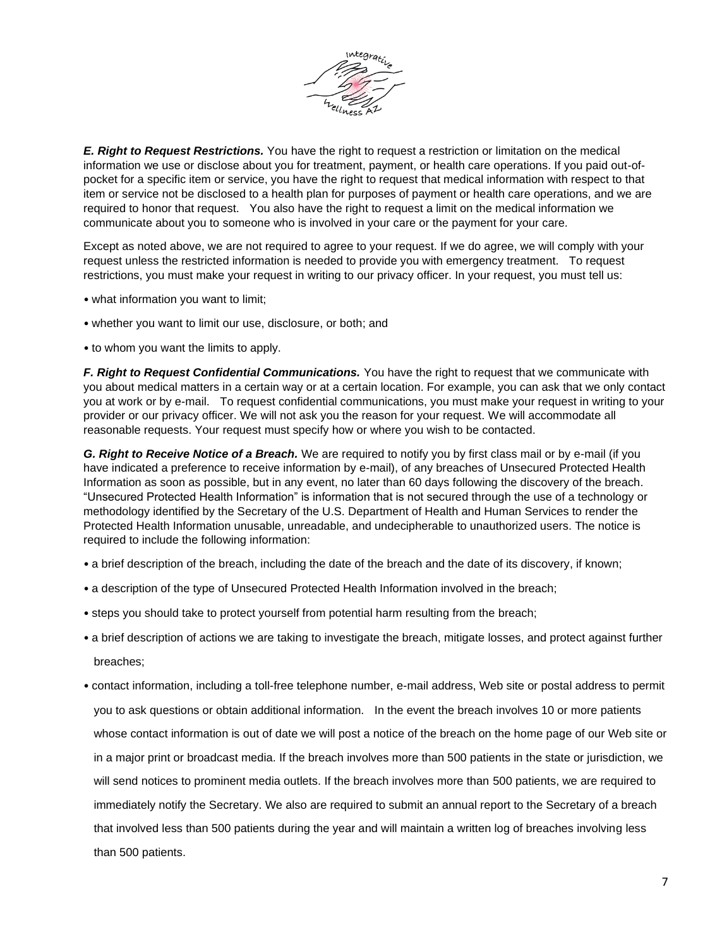

*E. Right to Request Restrictions.* You have the right to request a restriction or limitation on the medical information we use or disclose about you for treatment, payment, or health care operations. If you paid out-ofpocket for a specific item or service, you have the right to request that medical information with respect to that item or service not be disclosed to a health plan for purposes of payment or health care operations, and we are required to honor that request. You also have the right to request a limit on the medical information we communicate about you to someone who is involved in your care or the payment for your care.

Except as noted above, we are not required to agree to your request. If we do agree, we will comply with your request unless the restricted information is needed to provide you with emergency treatment. To request restrictions, you must make your request in writing to our privacy officer. In your request, you must tell us:

- what information you want to limit;
- whether you want to limit our use, disclosure, or both; and
- to whom you want the limits to apply.

*F. Right to Request Confidential Communications.* You have the right to request that we communicate with you about medical matters in a certain way or at a certain location. For example, you can ask that we only contact you at work or by e-mail. To request confidential communications, you must make your request in writing to your provider or our privacy officer. We will not ask you the reason for your request. We will accommodate all reasonable requests. Your request must specify how or where you wish to be contacted.

*G. Right to Receive Notice of a Breach.* We are required to notify you by first class mail or by e-mail (if you have indicated a preference to receive information by e-mail), of any breaches of Unsecured Protected Health Information as soon as possible, but in any event, no later than 60 days following the discovery of the breach. "Unsecured Protected Health Information" is information that is not secured through the use of a technology or methodology identified by the Secretary of the U.S. Department of Health and Human Services to render the Protected Health Information unusable, unreadable, and undecipherable to unauthorized users. The notice is required to include the following information:

- a brief description of the breach, including the date of the breach and the date of its discovery, if known;
- a description of the type of Unsecured Protected Health Information involved in the breach;
- steps you should take to protect yourself from potential harm resulting from the breach;
- a brief description of actions we are taking to investigate the breach, mitigate losses, and protect against further breaches;
- contact information, including a toll-free telephone number, e-mail address, Web site or postal address to permit you to ask questions or obtain additional information. In the event the breach involves 10 or more patients whose contact information is out of date we will post a notice of the breach on the home page of our Web site or in a major print or broadcast media. If the breach involves more than 500 patients in the state or jurisdiction, we will send notices to prominent media outlets. If the breach involves more than 500 patients, we are required to immediately notify the Secretary. We also are required to submit an annual report to the Secretary of a breach that involved less than 500 patients during the year and will maintain a written log of breaches involving less than 500 patients.